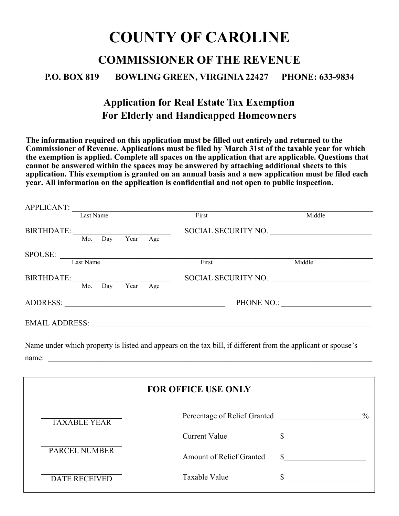# **COUNTY OF CAROLINE COMMISSIONER OF THE REVENUE P.O. BOX 819 BOWLING GREEN, VIRGINIA 22427 PHONE: 633-9834**

## **Application for Real Estate Tax Exemption For Elderly and Handicapped Homeowners**

**The information required on this application must be filled out entirely and returned to the Commissioner of Revenue. Applications must be filed by March 31st of the taxable year for which the exemption is applied. Complete all spaces on the application that are applicable. Questions that cannot be answered within the spaces may be answered by attaching additional sheets to this application. This exemption is granted on an annual basis and a new application must be filed each year. All information on the application is confidential and not open to public inspection.**

| <b>APPLICANT:</b>     |            |      |     |                     |        |
|-----------------------|------------|------|-----|---------------------|--------|
|                       | Last Name  |      |     | First               | Middle |
| <b>BIRTHDATE:</b>     |            |      |     | SOCIAL SECURITY NO. |        |
|                       | Mo.<br>Day | Year | Age |                     |        |
| SPOUSE:               |            |      |     |                     |        |
|                       | Last Name  |      |     | First               | Middle |
| <b>BIRTHDATE:</b>     |            |      |     | SOCIAL SECURITY NO. |        |
|                       | Mo.<br>Day | Year | Age |                     |        |
| <b>ADDRESS:</b>       |            |      |     | PHONE NO.:          |        |
| <b>EMAIL ADDRESS:</b> |            |      |     |                     |        |
|                       |            |      |     |                     |        |

Name under which property is listed and appears on the tax bill, if different from the applicant or spouse's name:

|                      | <b>FOR OFFICE USE ONLY</b>      |               |
|----------------------|---------------------------------|---------------|
| <b>TAXABLE YEAR</b>  | Percentage of Relief Granted    | $\frac{0}{0}$ |
|                      | Current Value                   |               |
| <b>PARCEL NUMBER</b> | <b>Amount of Relief Granted</b> |               |
| <b>DATE RECEIVED</b> | Taxable Value                   |               |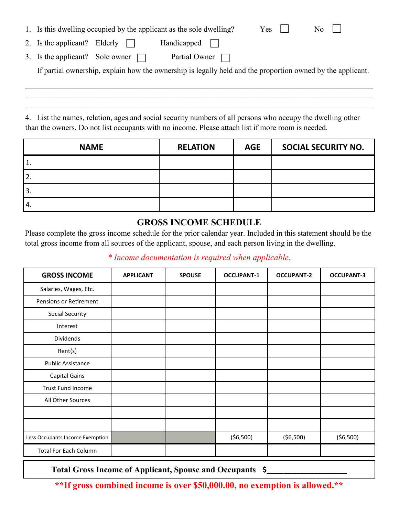|  |  |  |  | 1. Is this dwelling occupied by the applicant as the sole dwelling? | $Yes \mid \mid$ | No |
|--|--|--|--|---------------------------------------------------------------------|-----------------|----|
|--|--|--|--|---------------------------------------------------------------------|-----------------|----|

- 2. Is the applicant? Elderly  $\Box$  Handicapped  $\mathbf{1}$
- 3. Is the applicant? Sole owner  $\Box$  Partial Owner  $\Box$

If partial ownership, explain how the ownership is legally held and the proportion owned by the applicant.

4. List the names, relation, ages and social security numbers of all persons who occupy the dwelling other than the owners. Do not list occupants with no income. Please attach list if more room is needed.

| <b>NAME</b>      | <b>RELATION</b> | <b>AGE</b> | <b>SOCIAL SECURITY NO.</b> |
|------------------|-----------------|------------|----------------------------|
| 1.               |                 |            |                            |
| 2.               |                 |            |                            |
| 13.              |                 |            |                            |
| $\overline{4}$ . |                 |            |                            |

#### **GROSS INCOME SCHEDULE**

Please complete the gross income schedule for the prior calendar year. Included in this statement should be the total gross income from all sources of the applicant, spouse, and each person living in the dwelling.

#### *\* Income documentation is required when applicable.*

| <b>GROSS INCOME</b>             | <b>APPLICANT</b> | <b>SPOUSE</b> | <b>OCCUPANT-1</b> | <b>OCCUPANT-2</b> | <b>OCCUPANT-3</b> |
|---------------------------------|------------------|---------------|-------------------|-------------------|-------------------|
| Salaries, Wages, Etc.           |                  |               |                   |                   |                   |
| Pensions or Retirement          |                  |               |                   |                   |                   |
| <b>Social Security</b>          |                  |               |                   |                   |                   |
| Interest                        |                  |               |                   |                   |                   |
| Dividends                       |                  |               |                   |                   |                   |
| Rent(s)                         |                  |               |                   |                   |                   |
| <b>Public Assistance</b>        |                  |               |                   |                   |                   |
| <b>Capital Gains</b>            |                  |               |                   |                   |                   |
| Trust Fund Income               |                  |               |                   |                   |                   |
| All Other Sources               |                  |               |                   |                   |                   |
|                                 |                  |               |                   |                   |                   |
|                                 |                  |               |                   |                   |                   |
| Less Occupants Income Exemption |                  |               | ( \$6,500)        | ( \$6,500)        | ( \$6,500)        |
| <b>Total For Each Column</b>    |                  |               |                   |                   |                   |

**Total Gross Income of Applicant, Spouse and Occupants \$\_\_\_\_\_\_\_\_\_\_\_\_\_\_\_\_\_\_\_**

**\*\*If gross combined income is over \$50,000.00, no exemption is allowed.\*\***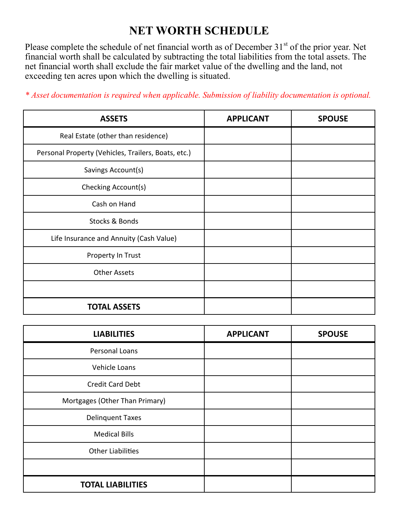# **NET WORTH SCHEDULE**

Please complete the schedule of net financial worth as of December 31<sup>st</sup> of the prior year. Net financial worth shall be calculated by subtracting the total liabilities from the total assets. The net financial worth shall exclude the fair market value of the dwelling and the land, not exceeding ten acres upon which the dwelling is situated.

| <b>ASSETS</b>                                       | <b>APPLICANT</b> | <b>SPOUSE</b> |
|-----------------------------------------------------|------------------|---------------|
| Real Estate (other than residence)                  |                  |               |
| Personal Property (Vehicles, Trailers, Boats, etc.) |                  |               |
| Savings Account(s)                                  |                  |               |
| Checking Account(s)                                 |                  |               |
| Cash on Hand                                        |                  |               |
| Stocks & Bonds                                      |                  |               |
| Life Insurance and Annuity (Cash Value)             |                  |               |
| Property In Trust                                   |                  |               |
| <b>Other Assets</b>                                 |                  |               |
|                                                     |                  |               |
| <b>TOTAL ASSETS</b>                                 |                  |               |

*\* Asset documentation is required when applicable. Submission of liability documentation is optional.*

| <b>LIABILITIES</b>             | <b>APPLICANT</b> | <b>SPOUSE</b> |
|--------------------------------|------------------|---------------|
| Personal Loans                 |                  |               |
| Vehicle Loans                  |                  |               |
| <b>Credit Card Debt</b>        |                  |               |
| Mortgages (Other Than Primary) |                  |               |
| <b>Delinquent Taxes</b>        |                  |               |
| <b>Medical Bills</b>           |                  |               |
| <b>Other Liabilities</b>       |                  |               |
|                                |                  |               |
| <b>TOTAL LIABILITIES</b>       |                  |               |